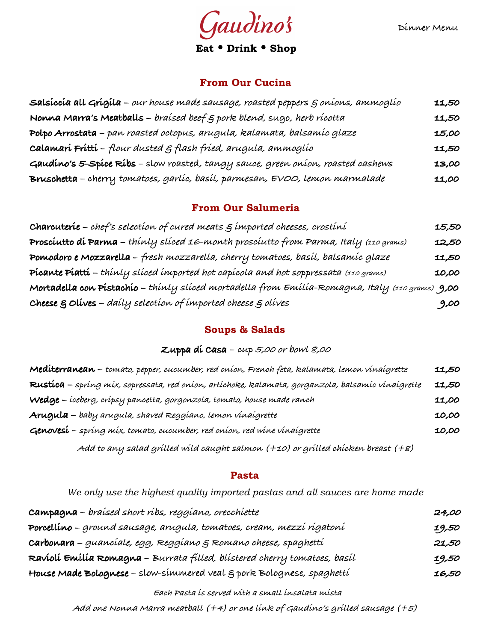

**Dinner Menu** 

## **Eat** ! **Drink** ! **Shop**

### **From Our Cucina**

| Salsíccía all Grígíla – our house made sausage, roasted peppers & oníons, ammoglío | 11,50 |
|------------------------------------------------------------------------------------|-------|
| Nonna Marra's Meatballs - braísed beef & pork blend, sugo, herb rícotta            | 11,50 |
| Polpo Arrostata – pan roasted octopus, arugula, kalamata, balsamíc glaze           | 15,00 |
| <b>Calamari Fritti -</b> flour dusted § flash fried, arugula, ammoglio             | 11,50 |
| Gaudino's 5-spice Ribs - slow roasted, tangy sauce, green onion, roasted cashews   | 13,00 |
| Bruschetta - cherry tomatoes, garlíc, basíl, parmesan, EVOO, lemon marmalade       | 11,00 |

### **From Our Salumeria**

| <b>Charcuterie</b> - chef's selection of cured meats $g$ imported cheeses, crostini                    | 15,50 |
|--------------------------------------------------------------------------------------------------------|-------|
| Prosciutto di Parma - thinly sliced 16-month prosciutto from Parma, Italy (110 grams)                  | 12,50 |
| Pomodoro e Mozzarella – fresh mozzarella, cherry tomatoes, basíl, balsamíc glaze                       | 11,50 |
| Picante Piatti – thinly sliced imported hot capicola and hot soppressata (110 grams)                   | 10,00 |
| Mortadella con Pístachío – thínly slíced mortadella from Emílía-Romagna, Italy (110 grams) <b>9,00</b> |       |
| <b>Cheese <math>g</math> Olives</b> – daily selection of imported cheese $g$ olives                    | 00,و  |

## **Soups & Salads**

# **Zuppa di Casa – cup 5,00 or bowl 8,00**

| Mediterranean – tomato, pepper, cucumber, red onion, French feta, kalamata, lemon vinaigrette      | 11,50 |
|----------------------------------------------------------------------------------------------------|-------|
| Rustica – spríng míx, sopressata, red oníon, artíchoke, kalamata, gorganzola, balsamic vinaigrette | 11,50 |
| Wedge – íceberg, crípsy pancetta, gorgonzola, tomato, house made ranch                             | 11,00 |
| <b>Arugula –</b> baby arugula, shaved Reggíano, lemon vínaígrette                                  | 10.00 |
| Genovesi - spring mix, tomato, cucumber, red onion, red wine vinaigrette                           | 10.00 |
| Add to any salad grilled wild caught salmon $(+10)$ or grilled chicken breast $(+8)$               |       |

#### **Pasta**

*We only use the highest quality imported pastas and all sauces are home made*

| <b>Campagna</b> – braísed short ríbs, reggíano, orecchiette                       | 24,00 |
|-----------------------------------------------------------------------------------|-------|
| <b>Porcellino</b> – ground sausage, arugula, tomatoes, cream, mezzí rígatoní      | 19,50 |
| <b>Carbonara</b> – guancíale, egg, Reggíano & Romano cheese, spaghettí            | 21,50 |
| Ravioli Emilia Romagna - Burrata filled, blistered cherry tomatoes, basil         | 19,50 |
| House Made Bolognese - slow-simmered veal $\varepsilon$ pork Bolognese, spaghetti | 16,50 |

 **Each Pasta is served with a small insalata mista** 

**Add one Nonna Marra meatball (+4) or one link of Gaudino's grilled sausage (+5)**